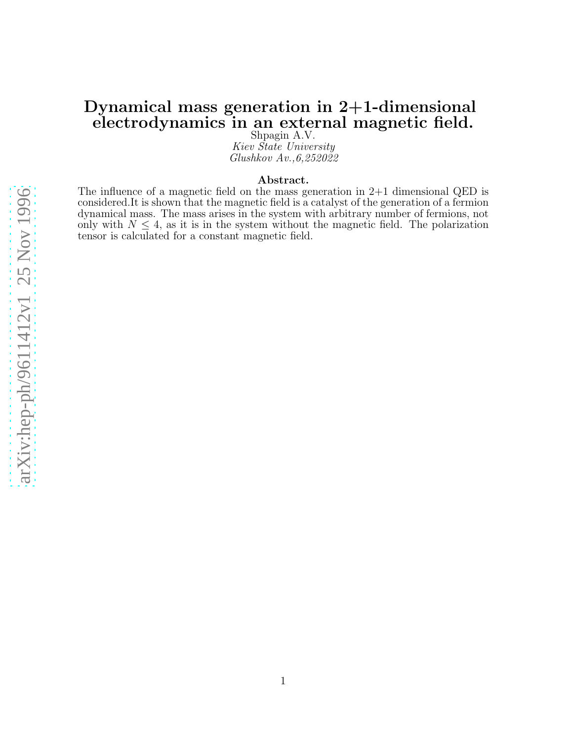# Dynamical mass generation in 2+1-dimensional electrodynamics in an external magnetic field.

Shpagin A.V. Kiev State University Glushkov Av.,6,252022

#### Abstract.

The influence of a magnetic field on the mass generation in 2+1 dimensional QED is considered.It is shown that the magnetic field is a catalyst of the generation of a fermion dynamical mass. The mass arises in the system with arbitrary number of fermions, not only with  $N \leq 4$ , as it is in the system without the magnetic field. The polarization tensor is calculated for a constant magnetic field.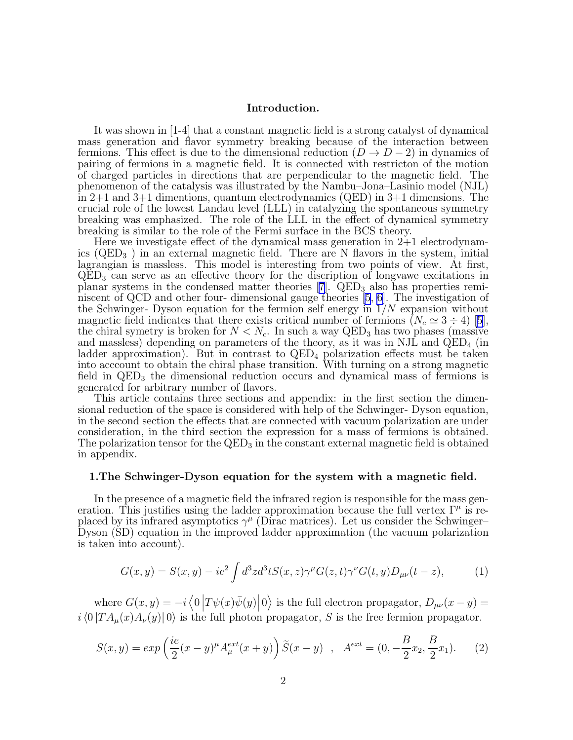## Introduction.

It was shown in [1-4] that a constant magnetic field is a strong catalyst of dynamical mass generation and flavor symmetry breaking because of the interaction between fermions. This effect is due to the dimensional reduction  $(D \to D - 2)$  in dynamics of pairing of fermions in a magnetic field. It is connected with restricton of the motion of charged particles in directions that are perpendicular to the magnetic field. The phenomenon of the catalysis was illustrated by the Nambu–Jona–Lasinio model (NJL) in 2+1 and 3+1 dimentions, quantum electrodynamics (QED) in 3+1 dimensions. The crucial role of the lowest Landau level (LLL) in catalyzing the spontaneous symmetry breaking was emphasized. The role of the LLL in the effect of dynamical symmetry breaking is similar to the role of the Fermi surface in the BCS theory.

Here we investigate effect of the dynamical mass generation in  $2+1$  electrodynamics (QED<sup>3</sup> ) in an external magnetic field. There are N flavors in the system, initial lagrangian is massless. This model is interesting from two points of view. At first,  $\text{QED}_3$  can serve as an effective theory for the discription of longvawe excitations in planar systems in the condensed matter theories [\[7\]](#page-11-0). QED<sub>3</sub> also has properties reminiscent of QCD and other four- dimensional gauge theories [\[5](#page-11-0), [6\]](#page-11-0). The investigation of the Schwinger- Dyson equation for the fermion self energy in  $1/N$  expansion without magneticfield indicates that there exists critical number of fermions  $(N_c \simeq 3 \div 4)$  [[5\]](#page-11-0), the chiral symetry is broken for  $N < N_c$ . In such a way QED<sub>3</sub> has two phases (massive and massless) depending on parameters of the theory, as it was in NJL and  $\text{QED}_4$  (in ladder approximation). But in contrast to  $QED_4$  polarization effects must be taken into acccount to obtain the chiral phase transition. With turning on a strong magnetic field in  $QED<sub>3</sub>$  the dimensional reduction occurs and dynamical mass of fermions is generated for arbitrary number of flavors.

This article contains three sections and appendix: in the first section the dimensional reduction of the space is considered with help of the Schwinger- Dyson equation, in the second section the effects that are connected with vacuum polarization are under consideration, in the third section the expression for a mass of fermions is obtained. The polarization tensor for the  $\text{QED}_3$  in the constant external magnetic field is obtained in appendix.

#### 1.The Schwinger-Dyson equation for the system with a magnetic field.

In the presence of a magnetic field the infrared region is responsible for the mass generation. This justifies using the ladder approximation because the full vertex  $\Gamma^{\mu}$  is replaced by its infrared asymptotics  $\gamma^{\mu}$  (Dirac matrices). Let us consider the Schwinger– Dyson (SD) equation in the improved ladder approximation (the vacuum polarization is taken into account).

$$
G(x,y) = S(x,y) - ie^2 \int d^3z d^3t S(x,z) \gamma^{\mu} G(z,t) \gamma^{\nu} G(t,y) D_{\mu\nu}(t-z), \qquad (1)
$$

where  $G(x, y) = -i \langle 0 | T \psi(x) \bar{\psi}(y) | 0 \rangle$  is the full electron propagator,  $D_{\mu\nu}(x - y) =$  $i\langle 0 | T A_u(x)A_v(y)| 0 \rangle$  is the full photon propagator, S is the free fermion propagator.

$$
S(x,y) = exp\left(\frac{ie}{2}(x-y)^{\mu}A_{\mu}^{ext}(x+y)\right)\tilde{S}(x-y) , \quad A^{ext} = (0, -\frac{B}{2}x_2, \frac{B}{2}x_1). \tag{2}
$$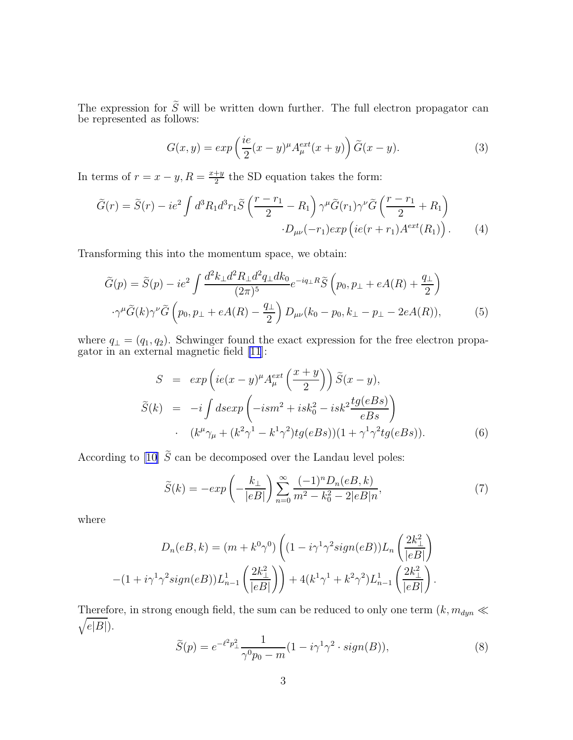<span id="page-2-0"></span>The expression for  $S$  will be written down further. The full electron propagator can be represented as follows:

$$
G(x,y) = exp\left(\frac{ie}{2}(x-y)^{\mu}A_{\mu}^{ext}(x+y)\right)\widetilde{G}(x-y).
$$
 (3)

In terms of  $r = x - y$ ,  $R = \frac{x+y}{2}$  $\frac{1}{2}$ <sup>ty</sup> the SD equation takes the form:

$$
\widetilde{G}(r) = \widetilde{S}(r) - ie^2 \int d^3 R_1 d^3 r_1 \widetilde{S} \left( \frac{r - r_1}{2} - R_1 \right) \gamma^{\mu} \widetilde{G}(r_1) \gamma^{\nu} \widetilde{G} \left( \frac{r - r_1}{2} + R_1 \right) \cdot D_{\mu\nu}(-r_1) exp \left( ie(r + r_1) A^{ext}(R_1) \right).
$$
\n(4)

Transforming this into the momentum space, we obtain:

$$
\widetilde{G}(p) = \widetilde{S}(p) - ie^2 \int \frac{d^2k_{\perp}d^2R_{\perp}d^2q_{\perp}dk_0}{(2\pi)^5} e^{-iq_{\perp}R}\widetilde{S}\left(p_0, p_{\perp} + eA(R) + \frac{q_{\perp}}{2}\right)
$$

$$
\cdot \gamma^{\mu}\widetilde{G}(k)\gamma^{\nu}\widetilde{G}\left(p_0, p_{\perp} + eA(R) - \frac{q_{\perp}}{2}\right)D_{\mu\nu}(k_0 - p_0, k_{\perp} - p_{\perp} - 2eA(R)),\tag{5}
$$

where  $q_{\perp} = (q_1, q_2)$ . Schwinger found the exact expression for the free electron propagator in an external magnetic field [\[11](#page-11-0)]:

$$
S = exp\left(ie(x-y)^{\mu}A_{\mu}^{ext}\left(\frac{x+y}{2}\right)\right)\tilde{S}(x-y),
$$
  

$$
\tilde{S}(k) = -i\int d\tilde{s}exp\left(-ism^2 + isk_0^2 - isk^2\frac{tg(eBs)}{eBs}\right)
$$
  

$$
\cdot (k^{\mu}\gamma_{\mu} + (k^2\gamma^1 - k^1\gamma^2)tg(eBs))(1 + \gamma^1\gamma^2tg(eBs)).
$$
 (6)

According to [\[10\]](#page-11-0)  $\tilde{S}$  can be decomposed over the Landau level poles:

$$
\tilde{S}(k) = -exp\left(-\frac{k_{\perp}}{|eB|}\right) \sum_{n=0}^{\infty} \frac{(-1)^n D_n(eB, k)}{m^2 - k_0^2 - 2|eB|n},\tag{7}
$$

where

$$
D_n(eB, k) = (m + k^0 \gamma^0) \left( (1 - i\gamma^1 \gamma^2 sign(eB)) L_n \left( \frac{2k_\perp^2}{|eB|} \right) - (1 + i\gamma^1 \gamma^2 sign(eB)) L_{n-1}^1 \left( \frac{2k_\perp^2}{|eB|} \right) \right) + 4(k^1 \gamma^1 + k^2 \gamma^2) L_{n-1}^1 \left( \frac{2k_\perp^2}{|eB|} \right).
$$

Therefore, in strong enough field, the sum can be reduced to only one term  $(k, m_{dyn} \ll m_{dyn})$  $\sqrt{e|B|}$ ).

$$
\widetilde{S}(p) = e^{-\ell^2 p_\perp^2} \frac{1}{\gamma^0 p_0 - m} (1 - i \gamma^1 \gamma^2 \cdot sign(B)),\tag{8}
$$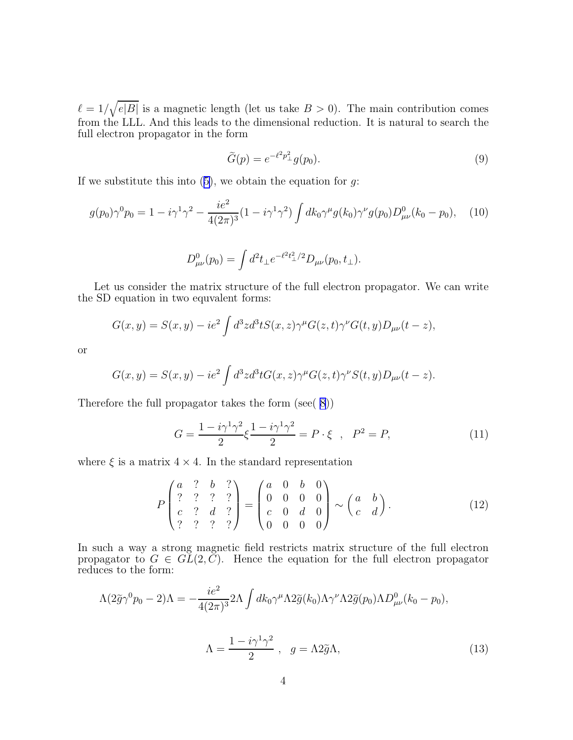<span id="page-3-0"></span> $\ell = 1/\sqrt{e|B|}$  is a magnetic length (let us take  $B > 0$ ). The main contribution comes from the LLL. And this leads to the dimensional reduction. It is natural to search the full electron propagator in the form

$$
\widetilde{G}(p) = e^{-\ell^2 p_{\perp}^2} g(p_0). \tag{9}
$$

Ifwe substitute this into  $(5)$  $(5)$ , we obtain the equation for g:

$$
g(p_0)\gamma^0 p_0 = 1 - i\gamma^1 \gamma^2 - \frac{ie^2}{4(2\pi)^3} (1 - i\gamma^1 \gamma^2) \int dk_0 \gamma^\mu g(k_0) \gamma^\nu g(p_0) D^0_{\mu\nu}(k_0 - p_0), \quad (10)
$$

$$
D^0_{\mu\nu}(p_0) = \int d^2t_{\perp} e^{-\ell^2t_{\perp}^2/2} D_{\mu\nu}(p_0, t_{\perp}).
$$

Let us consider the matrix structure of the full electron propagator. We can write the SD equation in two equvalent forms:

$$
G(x,y) = S(x,y) - ie^2 \int d^3z d^3t S(x,z) \gamma^{\mu} G(z,t) \gamma^{\nu} G(t,y) D_{\mu\nu}(t-z),
$$

or

$$
G(x,y) = S(x,y) - ie2 \int d3 z d3 t G(x,z) \gamma^{\mu} G(z,t) \gamma^{\nu} S(t,y) D_{\mu\nu}(t-z).
$$

Therefore the full propagator takes the form (see( [8](#page-2-0)))

$$
G = \frac{1 - i\gamma^{1}\gamma^{2}}{2}\xi \frac{1 - i\gamma^{1}\gamma^{2}}{2} = P \cdot \xi \quad , \quad P^{2} = P, \tag{11}
$$

where  $\xi$  is a matrix  $4 \times 4$ . In the standard representation

$$
P\begin{pmatrix} a & ? & b & ? \\ ? & ? & ? & ? \\ c & ? & d & ? \\ ? & ? & ? & ? \end{pmatrix} = \begin{pmatrix} a & 0 & b & 0 \\ 0 & 0 & 0 & 0 \\ c & 0 & d & 0 \\ 0 & 0 & 0 & 0 \end{pmatrix} \sim \begin{pmatrix} a & b \\ c & d \end{pmatrix} . \tag{12}
$$

In such a way a strong magnetic field restricts matrix structure of the full electron propagator to  $G \in GL(2, \mathbb{C})$ . Hence the equation for the full electron propagator reduces to the form:

$$
\Lambda(2\tilde{g}\gamma^0 p_0 - 2)\Lambda = -\frac{ie^2}{4(2\pi)^3} 2\Lambda \int dk_0 \gamma^\mu \Lambda 2\tilde{g}(k_0) \Lambda \gamma^\nu \Lambda 2\tilde{g}(p_0) \Lambda D^0_{\mu\nu}(k_0 - p_0),
$$
  

$$
\Lambda = \frac{1 - i\gamma^1 \gamma^2}{2}, \quad g = \Lambda 2\tilde{g}\Lambda,
$$
 (13)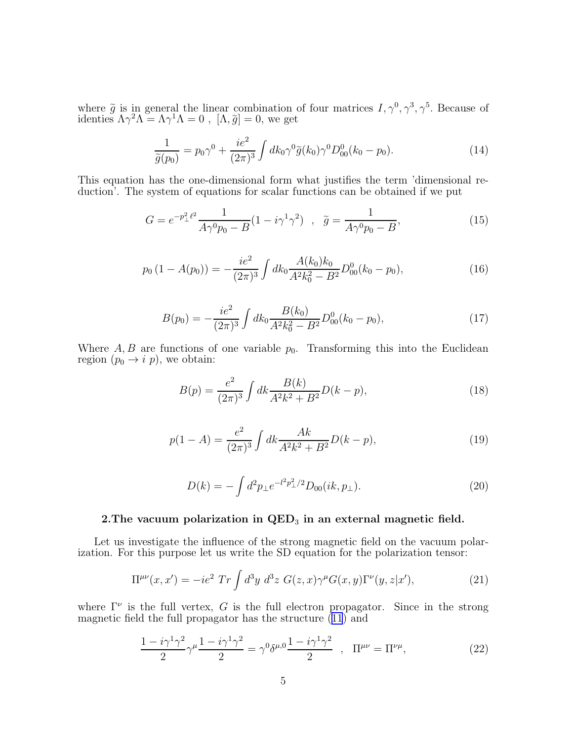<span id="page-4-0"></span>where  $\tilde{g}$  is in general the linear combination of four matrices  $I, \gamma^0, \gamma^3, \gamma^5$ . Because of identies  $\Lambda \gamma^2 \Lambda = \Lambda \gamma^1 \Lambda = 0$ ,  $[\Lambda, \tilde{g}] = 0$ , we get

$$
\frac{1}{\tilde{g}(p_0)} = p_0 \gamma^0 + \frac{ie^2}{(2\pi)^3} \int dk_0 \gamma^0 \tilde{g}(k_0) \gamma^0 D_{00}^0(k_0 - p_0).
$$
 (14)

This equation has the one-dimensional form what justifies the term 'dimensional reduction'. The system of equations for scalar functions can be obtained if we put

$$
G = e^{-p_{\perp}^{2} \ell^{2}} \frac{1}{A\gamma^{0} p_{0} - B} (1 - i\gamma^{1} \gamma^{2}) , \quad \tilde{g} = \frac{1}{A\gamma^{0} p_{0} - B}, \tag{15}
$$

$$
p_0\left(1 - A(p_0)\right) = -\frac{ie^2}{(2\pi)^3} \int dk_0 \frac{A(k_0)k_0}{A^2 k_0^2 - B^2} D_{00}^0(k_0 - p_0),\tag{16}
$$

$$
B(p_0) = -\frac{ie^2}{(2\pi)^3} \int dk_0 \frac{B(k_0)}{A^2 k_0^2 - B^2} D_{00}^0(k_0 - p_0), \qquad (17)
$$

Where  $A, B$  are functions of one variable  $p_0$ . Transforming this into the Euclidean region  $(p_0 \rightarrow i p)$ , we obtain:

$$
B(p) = \frac{e^2}{(2\pi)^3} \int dk \frac{B(k)}{A^2 k^2 + B^2} D(k - p),\tag{18}
$$

$$
p(1-A) = \frac{e^2}{(2\pi)^3} \int dk \frac{Ak}{A^2k^2 + B^2} D(k-p),
$$
\n(19)

$$
D(k) = -\int d^2 p_\perp e^{-l^2 p_\perp^2/2} D_{00}(ik, p_\perp). \tag{20}
$$

# 2. The vacuum polarization in  $\text{QED}_3$  in an external magnetic field.

Let us investigate the influence of the strong magnetic field on the vacuum polarization. For this purpose let us write the SD equation for the polarization tensor:

$$
\Pi^{\mu\nu}(x,x') = -ie^2 \operatorname{Tr} \int d^3y \ d^3z \ G(z,x)\gamma^{\mu}G(x,y)\Gamma^{\nu}(y,z|x'), \tag{21}
$$

where  $\Gamma^{\nu}$  is the full vertex, G is the full electron propagator. Since in the strong magneticfield the full propagator has the structure  $(11)$  $(11)$  $(11)$  and

$$
\frac{1 - i\gamma^1 \gamma^2}{2} \gamma^\mu \frac{1 - i\gamma^1 \gamma^2}{2} = \gamma^0 \delta^{\mu,0} \frac{1 - i\gamma^1 \gamma^2}{2} , \quad \Pi^{\mu\nu} = \Pi^{\nu\mu}, \tag{22}
$$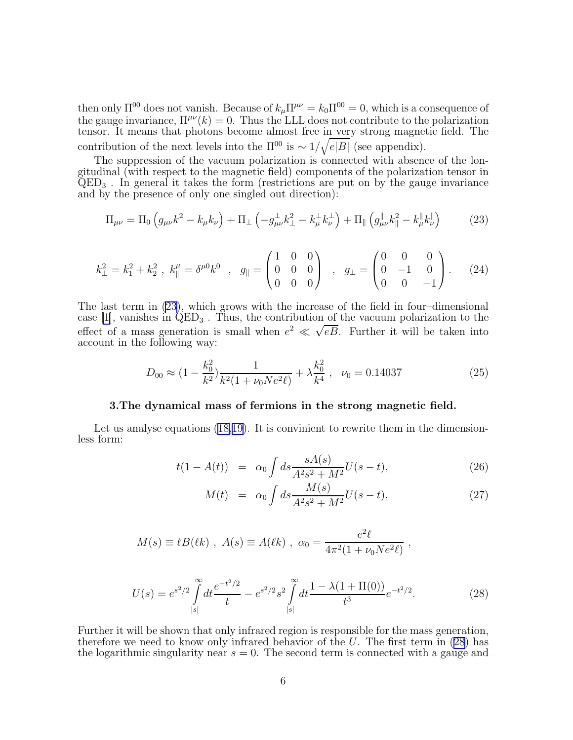<span id="page-5-0"></span>then only  $\Pi^{00}$  does not vanish. Because of  $k_{\mu} \Pi^{\mu\nu} = k_0 \Pi^{00} = 0$ , which is a consequence of the gauge invariance,  $\Pi^{\mu\nu}(k) = 0$ . Thus the LLL does not contribute to the polarization tensor. It means that photons become almost free in very strong magnetic field. The contribution of the next levels into the  $\Pi^{00}$  is  $\sim 1/\sqrt{e|B|}$  (see appendix).

The suppression of the vacuum polarization is connected with absence of the longitudinal (with respect to the magnetic field) components of the polarization tensor in  $\text{QED}_3$ . In general it takes the form (restrictions are put on by the gauge invariance and by the presence of only one singled out direction):

$$
\Pi_{\mu\nu} = \Pi_0 \left( g_{\mu\nu} k^2 - k_{\mu} k_{\nu} \right) + \Pi_\perp \left( -g_{\mu\nu}^\perp k_\perp^2 - k_\mu^\perp k_\nu^\perp \right) + \Pi_\parallel \left( g_{\mu\nu}^\parallel k_\parallel^2 - k_\mu^\parallel k_\nu^\parallel \right) \tag{23}
$$

$$
k_{\perp}^{2} = k_{1}^{2} + k_{2}^{2} , \ k_{\parallel}^{\mu} = \delta^{\mu 0} k^{0} , \ g_{\parallel} = \begin{pmatrix} 1 & 0 & 0 \\ 0 & 0 & 0 \\ 0 & 0 & 0 \end{pmatrix} , \ g_{\perp} = \begin{pmatrix} 0 & 0 & 0 \\ 0 & -1 & 0 \\ 0 & 0 & -1 \end{pmatrix} .
$$
 (24)

The last term in (23), which grows with the increase of the field in four–dimensional case [\[1\]](#page-11-0), vanishes in  $\acute{QED}_3$ . Thus, the contribution of the vacuum polarization to the effect of a mass generation is small when  $e^2 \ll \sqrt{eB}$ . Further it will be taken into account in the following way:

$$
D_{00} \approx (1 - \frac{k_0^2}{k^2}) \frac{1}{k^2 (1 + \nu_0 N e^2 \ell)} + \lambda \frac{k_0^2}{k^4} , \quad \nu_0 = 0.14037
$$
 (25)

# 3.The dynamical mass of fermions in the strong magnetic field.

Letus analyse equations ([18,19\)](#page-4-0). It is convinient to rewrite them in the dimensionless form:

$$
t(1 - A(t)) = \alpha_0 \int ds \frac{sA(s)}{A^2 s^2 + M^2} U(s - t), \tag{26}
$$

$$
M(t) = \alpha_0 \int ds \frac{M(s)}{A^2 s^2 + M^2} U(s - t), \tag{27}
$$

$$
M(s) \equiv \ell B(\ell k) , A(s) \equiv A(\ell k) , \alpha_0 = \frac{e^2 \ell}{4\pi^2 (1 + \nu_0 N e^2 \ell)} ,
$$

$$
U(s) = e^{s^2/2} \int_{|s|}^{\infty} dt \frac{e^{-t^2/2}}{t} - e^{s^2/2} s^2 \int_{|s|}^{\infty} dt \frac{1 - \lambda(1 + \Pi(0))}{t^3} e^{-t^2/2}.
$$
 (28)

Further it will be shown that only infrared region is responsible for the mass generation, therefore we need to know only infrared behavior of the  $U$ . The first term in (28) has the logarithmic singularity near  $s = 0$ . The second term is connected with a gauge and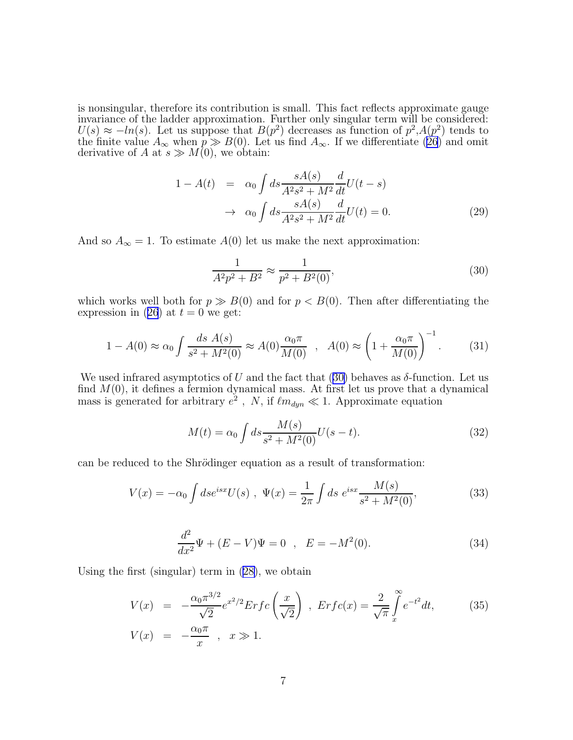<span id="page-6-0"></span>is nonsingular, therefore its contribution is small. This fact reflects approximate gauge invariance of the ladder approximation. Further only singular term will be considered:  $U(s) \approx -\ln(s)$ . Let us suppose that  $B(p^2)$  decreases as function of  $p^2, A(p^2)$  tends to the finite value  $A_{\infty}$  when  $p \gg B(0)$ . Let us find  $A_{\infty}$ . If we differentiate  $(26)$  and omit derivative of A at  $s \gg M(0)$ , we obtain:

$$
1 - A(t) = \alpha_0 \int ds \frac{sA(s)}{A^2 s^2 + M^2} \frac{d}{dt} U(t - s)
$$

$$
\to \alpha_0 \int ds \frac{sA(s)}{A^2 s^2 + M^2} \frac{d}{dt} U(t) = 0.
$$
(29)

And so  $A_{\infty} = 1$ . To estimate  $A(0)$  let us make the next approximation:

$$
\frac{1}{A^2p^2 + B^2} \approx \frac{1}{p^2 + B^2(0)},
$$
\n(30)

which works well both for  $p \gg B(0)$  and for  $p < B(0)$ . Then after differentiating the expressionin ([26](#page-5-0)) at  $t = 0$  we get:

$$
1 - A(0) \approx \alpha_0 \int \frac{ds \ A(s)}{s^2 + M^2(0)} \approx A(0) \frac{\alpha_0 \pi}{M(0)} \ , \ A(0) \approx \left(1 + \frac{\alpha_0 \pi}{M(0)}\right)^{-1} . \tag{31}
$$

We used infrared asymptotics of U and the fact that (30) behaves as  $\delta$ -function. Let us find  $M(0)$ , it defines a fermion dynamical mass. At first let us prove that a dynamical mass is generated for arbitrary  $e^2$ , N, if  $\ell m_{dyn} \ll 1$ . Approximate equation

$$
M(t) = \alpha_0 \int ds \frac{M(s)}{s^2 + M^2(0)} U(s - t).
$$
 (32)

can be reduced to the Shrödinger equation as a result of transformation:

$$
V(x) = -\alpha_0 \int ds e^{isx} U(s) , \Psi(x) = \frac{1}{2\pi} \int ds \ e^{isx} \frac{M(s)}{s^2 + M^2(0)},
$$
 (33)

$$
\frac{d^2}{dx^2}\Psi + (E - V)\Psi = 0 \quad , \quad E = -M^2(0). \tag{34}
$$

Using the first (singular) term in([28\)](#page-5-0), we obtain

$$
V(x) = -\frac{\alpha_0 \pi^{3/2}}{\sqrt{2}} e^{x^2/2} Erfc\left(\frac{x}{\sqrt{2}}\right), Erfc(x) = \frac{2}{\sqrt{\pi}} \int_{x}^{\infty} e^{-t^2} dt,
$$
\n
$$
V(x) = -\frac{\alpha_0 \pi}{x}, \quad x \gg 1.
$$
\n(35)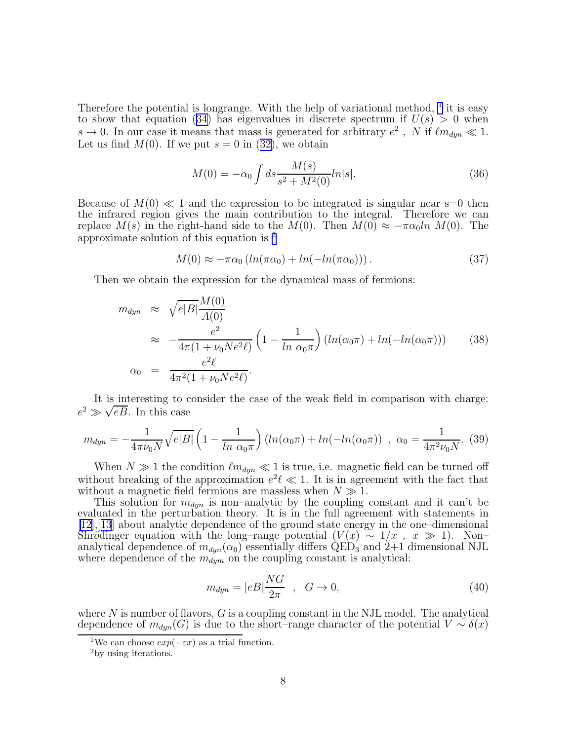Therefore the potential is longrange. With the help of variational method,  $1$  it is easy toshow that equation ([34\)](#page-6-0) has eigenvalues in discrete spectrum if  $U(s) > 0$  when  $s \to 0$ . In our case it means that mass is generated for arbitrary  $e^2$ , N if  $\ell m_{dyn} \ll 1$ . Let us find  $M(0)$ . If we put  $s = 0$  in [\(32\)](#page-6-0), we obtain

$$
M(0) = -\alpha_0 \int ds \frac{M(s)}{s^2 + M^2(0)} ln|s|.
$$
 (36)

Because of  $M(0) \ll 1$  and the expression to be integrated is singular near s=0 then the infrared region gives the main contribution to the integral. Therefore we can replace  $M(s)$  in the right-hand side to the  $M(0)$ . Then  $M(0) \approx -\pi \alpha_0 ln M(0)$ . The approximate solution of this equation is <sup>2</sup>

$$
M(0) \approx -\pi\alpha_0 \left( \ln(\pi\alpha_0) + \ln(-\ln(\pi\alpha_0)) \right). \tag{37}
$$

Then we obtain the expression for the dynamical mass of fermions:

$$
m_{dyn} \approx \sqrt{e|B|} \frac{M(0)}{A(0)}
$$
  
\n
$$
\approx -\frac{e^2}{4\pi (1 + \nu_0 N e^2 \ell)} \left(1 - \frac{1}{\ln \alpha_0 \pi}\right) (\ln(\alpha_0 \pi) + \ln(-\ln(\alpha_0 \pi)))
$$
 (38)  
\n
$$
\alpha_0 = \frac{e^2 \ell}{4\pi^2 (1 + \nu_0 N e^2 \ell)}.
$$

It is interesting to consider the case of the weak field in comparison with charge:  $e^2 \gg \sqrt{eB}$ . In this case

$$
m_{dyn} = -\frac{1}{4\pi\nu_0 N} \sqrt{e|B|} \left(1 - \frac{1}{\ln \alpha_0 \pi}\right) \left(\ln(\alpha_0 \pi) + \ln(-\ln(\alpha_0 \pi))\right), \ \alpha_0 = \frac{1}{4\pi^2 \nu_0 N}.\tag{39}
$$

When  $N \gg 1$  the condition  $\ell m_{dyn} \ll 1$  is true, i.e. magnetic field can be turned off without breaking of the approximation  $e^2 \ell \ll 1$ . It is in agreement with the fact that without a magnetic field fermions are massless when  $N \gg 1$ .

This solution for  $m_{dyn}$  is non–analytic by the coupling constant and it can't be evaluated in the perturbation theory. It is in the full agreement with statements in [\[12\]](#page-11-0),[[13](#page-11-0)] about analytic dependence of the ground state energy in the one–dimensional Shrödinger equation with the long–range potential  $(V(x) \sim 1/x$ ,  $x \gg 1)$ . Non– analytical dependence of  $m_{dyn}(\alpha_0)$  essentially differs QED<sub>3</sub> and 2+1 dimensional NJL where dependence of the  $m_{dyn}$  on the coupling constant is analytical:

$$
m_{dyn} = |eB|\frac{NG}{2\pi} \quad , \quad G \to 0,\tag{40}
$$

where N is number of flavors,  $G$  is a coupling constant in the NJL model. The analytical dependence of  $m_{dyn}(G)$  is due to the short–range character of the potential  $V \sim \delta(x)$ 

<sup>&</sup>lt;sup>1</sup>We can choose  $exp(-\varepsilon x)$  as a trial function.

<sup>2</sup>by using iterations.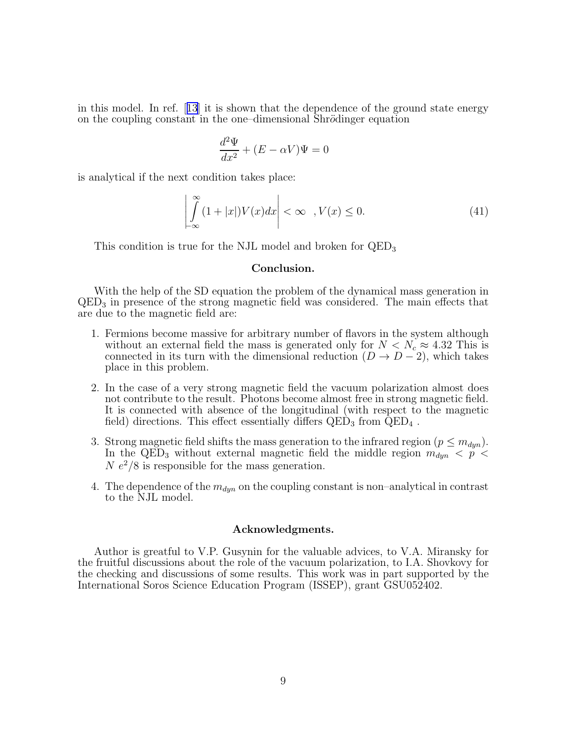in this model. In ref.[[13](#page-11-0)] it is shown that the dependence of the ground state energy on the coupling constant in the one–dimensional Shrödinger equation

$$
\frac{d^2\Psi}{dx^2} + (E - \alpha V)\Psi = 0
$$

is analytical if the next condition takes place:

$$
\left| \int_{-\infty}^{\infty} (1+|x|) V(x) dx \right| < \infty \quad , V(x) \le 0.
$$
 (41)

This condition is true for the NJL model and broken for  $QED_3$ 

## Conclusion.

With the help of the SD equation the problem of the dynamical mass generation in QED<sup>3</sup> in presence of the strong magnetic field was considered. The main effects that are due to the magnetic field are:

- 1. Fermions become massive for arbitrary number of flavors in the system although without an external field the mass is generated only for  $N < N_c \approx 4.32$  This is connected in its turn with the dimensional reduction  $(D \to D - 2)$ , which takes place in this problem.
- 2. In the case of a very strong magnetic field the vacuum polarization almost does not contribute to the result. Photons become almost free in strong magnetic field. It is connected with absence of the longitudinal (with respect to the magnetic field) directions. This effect essentially differs  $QED_3$  from  $QED_4$ .
- 3. Strong magnetic field shifts the mass generation to the infrared region ( $p \leq m_{dyn}$ ). In the QED<sub>3</sub> without external magnetic field the middle region  $m_{dyn}$  <  $p$  <  $N e^{2}/8$  is responsible for the mass generation.
- 4. The dependence of the  $m_{dyn}$  on the coupling constant is non–analytical in contrast to the NJL model.

# Acknowledgments.

Author is greatful to V.P. Gusynin for the valuable advices, to V.A. Miransky for the fruitful discussions about the role of the vacuum polarization, to I.A. Shovkovy for the checking and discussions of some results. This work was in part supported by the International Soros Science Education Program (ISSEP), grant GSU052402.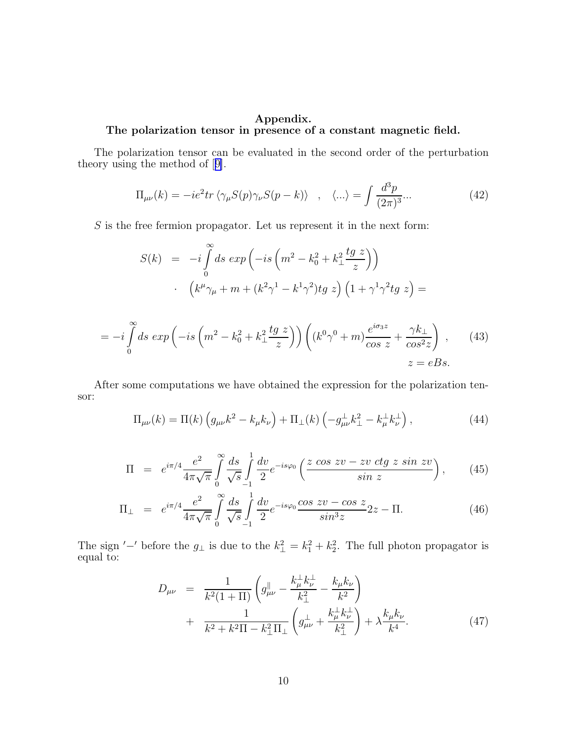# <span id="page-9-0"></span>Appendix. The polarization tensor in presence of a constant magnetic field.

The polarization tensor can be evaluated in the second order of the perturbation theory using the method of[[9\]](#page-11-0).

$$
\Pi_{\mu\nu}(k) = -ie^2 \text{tr}\left\langle \gamma_\mu S(p)\gamma_\nu S(p-k) \right\rangle , \quad \langle \ldots \rangle = \int \frac{d^3p}{(2\pi)^3} \ldots \tag{42}
$$

 $S$  is the free fermion propagator. Let us represent it in the next form:

 $=$ 

$$
S(k) = -i \int_{0}^{\infty} ds \exp\left(-is\left(m^{2} - k_{0}^{2} + k_{\perp}^{2} \frac{tg z}{z}\right)\right)
$$

$$
\cdot \left(k^{\mu}\gamma_{\mu} + m + (k^{2}\gamma^{1} - k^{1}\gamma^{2})tg z\right)\left(1 + \gamma^{1}\gamma^{2}tg z\right) =
$$

$$
-i \int_{0}^{\infty} ds \exp\left(-is\left(m^{2} - k_{0}^{2} + k_{\perp}^{2} \frac{tg z}{z}\right)\right)\left((k^{0}\gamma^{0} + m) \frac{e^{i\sigma_{3}z}}{\cos z} + \frac{\gamma k_{\perp}}{\cos^{2}z}\right), \qquad (43)
$$

$$
z = eBs.
$$

After some computations we have obtained the expression for the polarization tensor:

$$
\Pi_{\mu\nu}(k) = \Pi(k) \left( g_{\mu\nu} k^2 - k_\mu k_\nu \right) + \Pi_\perp(k) \left( -g_{\mu\nu}^\perp k_\perp^2 - k_\mu^\perp k_\nu^\perp \right),\tag{44}
$$

$$
\Pi = e^{i\pi/4} \frac{e^2}{4\pi\sqrt{\pi}} \int_{0}^{\infty} \frac{ds}{\sqrt{s}} \int_{-1}^{1} \frac{dv}{2} e^{-is\varphi_0} \left( \frac{z \cos zv - zv \, ctg \, z \, \sin zv}{\sin z} \right), \tag{45}
$$

$$
\Pi_{\perp} = e^{i\pi/4} \frac{e^2}{4\pi\sqrt{\pi}} \int_{0}^{\infty} \frac{ds}{\sqrt{s}} \int_{-1}^{1} \frac{dv}{2} e^{-is\varphi_0} \frac{\cos zv - \cos z}{\sin^3 z} 2z - \Pi. \tag{46}
$$

The sign '–' before the  $g_{\perp}$  is due to the  $k_{\perp}^2 = k_1^2 + k_2^2$ . The full photon propagator is equal to:

$$
D_{\mu\nu} = \frac{1}{k^2(1+\Pi)} \left( g_{\mu\nu}^{\parallel} - \frac{k_{\mu}^{\perp}k_{\nu}^{\perp}}{k_{\perp}^2} - \frac{k_{\mu}k_{\nu}}{k^2} \right) + \frac{1}{k^2 + k^2\Pi - k_{\perp}^2\Pi_{\perp}} \left( g_{\mu\nu}^{\perp} + \frac{k_{\mu}^{\perp}k_{\nu}^{\perp}}{k_{\perp}^2} \right) + \lambda \frac{k_{\mu}k_{\nu}}{k^4}.
$$
 (47)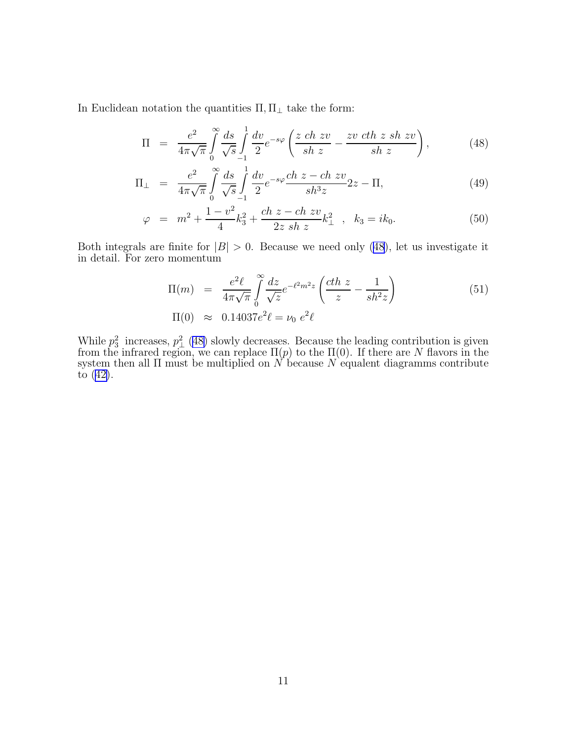In Euclidean notation the quantities  $\Pi, \Pi_\perp$  take the form:

$$
\Pi = \frac{e^2}{4\pi\sqrt{\pi}} \int_0^\infty \frac{ds}{\sqrt{s}} \int_{-1}^1 \frac{dv}{2} e^{-s\varphi} \left( \frac{z \, ch \, zv}{sh \, z} - \frac{zv \, ch \, z \, sh \, zv}{sh \, z} \right),\tag{48}
$$

$$
\Pi_{\perp} = \frac{e^2}{4\pi\sqrt{\pi}} \int_{0}^{\infty} \frac{ds}{\sqrt{s}} \int_{-1}^{1} \frac{dv}{2} e^{-s\varphi} \frac{ch \ z - ch \ zv}{sh^3 z} 2z - \Pi,
$$
\n(49)

$$
\varphi = m^2 + \frac{1 - v^2}{4} k_3^2 + \frac{ch z - ch zv}{2z sh z} k_\perp^2 , \quad k_3 = ik_0. \tag{50}
$$

Both integrals are finite for  $|B| > 0$ . Because we need only (48), let us investigate it in detail. For zero momentum

$$
\Pi(m) = \frac{e^2 \ell}{4\pi\sqrt{\pi}} \int_0^{\infty} \frac{dz}{\sqrt{z}} e^{-\ell^2 m^2 z} \left( \frac{cth z}{z} - \frac{1}{sh^2 z} \right)
$$
\n
$$
\Pi(0) \approx 0.14037 e^2 \ell = \nu_0 e^2 \ell
$$
\n(51)

While  $p_3^2$  increases,  $p_\perp^2$  (48) slowly decreases. Because the leading contribution is given from the infrared region, we can replace  $\Pi(p)$  to the  $\Pi(0)$ . If there are N flavors in the system then all  $\Pi$  must be multiplied on N because N equalent diagramms contribute to([42\)](#page-9-0).